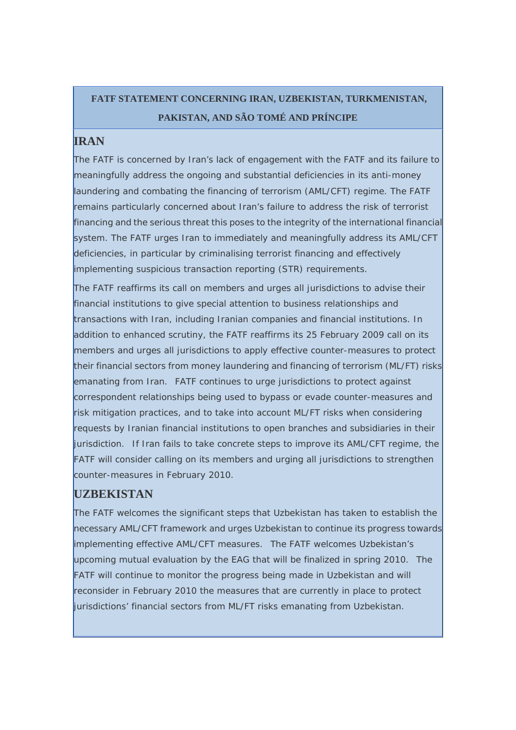## **FATF STATEMENT CONCERNING IRAN, UZBEKISTAN, TURKMENISTAN, PAKISTAN, AND SÃO TOMÉ AND PRÍNCIPE**

#### **IRAN**

The FATF is concerned by Iran's lack of engagement with the FATF and its failure to meaningfully address the ongoing and substantial deficiencies in its anti-money laundering and combating the financing of terrorism (AML/CFT) regime. The FATF remains particularly concerned about Iran's failure to address the risk of terrorist financing and the serious threat this poses to the integrity of the international financial system. The FATF urges Iran to immediately and meaningfully address its AML/CFT deficiencies, in particular by criminalising terrorist financing and effectively implementing suspicious transaction reporting (STR) requirements.

The FATF reaffirms its call on members and urges all jurisdictions to advise their financial institutions to give special attention to business relationships and transactions with Iran, including Iranian companies and financial institutions. In addition to enhanced scrutiny, the FATF reaffirms its 25 February 2009 call on its members and urges all jurisdictions to apply effective counter-measures to protect their financial sectors from money laundering and financing of terrorism (ML/FT) risks emanating from Iran. FATF continues to urge jurisdictions to protect against correspondent relationships being used to bypass or evade counter-measures and risk mitigation practices, and to take into account ML/FT risks when considering requests by Iranian financial institutions to open branches and subsidiaries in their jurisdiction. If Iran fails to take concrete steps to improve its AML/CFT regime, the FATF will consider calling on its members and urging all jurisdictions to strengthen counter-measures in February 2010.

#### **UZBEKISTAN**

The FATF welcomes the significant steps that Uzbekistan has taken to establish the necessary AML/CFT framework and urges Uzbekistan to continue its progress towards implementing effective AML/CFT measures. The FATF welcomes Uzbekistan's upcoming mutual evaluation by the EAG that will be finalized in spring 2010. The FATF will continue to monitor the progress being made in Uzbekistan and will reconsider in February 2010 the measures that are currently in place to protect jurisdictions' financial sectors from ML/FT risks emanating from Uzbekistan.